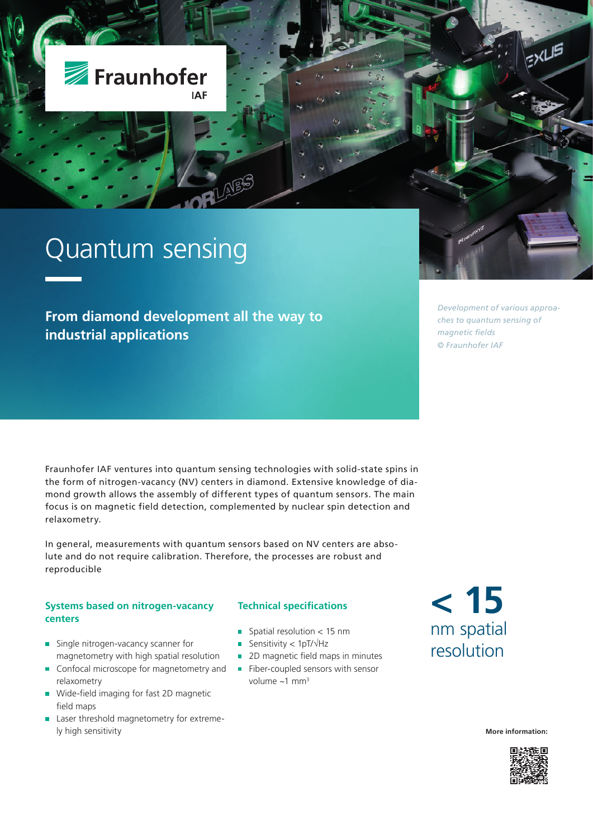

**From diamond development all the way to industrial applications** 

*Development of various approaches to quantum sensing of magnetic fields © Fraunhofer IAF*

Fraunhofer IAF ventures into quantum sensing technologies with solid-state spins in the form of nitrogen-vacancy (NV) centers in diamond. Extensive knowledge of diamond growth allows the assembly of different types of quantum sensors. The main focus is on magnetic field detection, complemented by nuclear spin detection and relaxometry.

In general, measurements with quantum sensors based on NV centers are absolute and do not require calibration. Therefore, the processes are robust and reproducible

### **Systems based on nitrogen-vacancy centers**

- Single nitrogen-vacancy scanner for magnetometry with high spatial resolution
- m. Confocal microscope for magnetometry and relaxometry
- Wide-field imaging for fast 2D magnetic Ì. field maps
- **Laser threshold magnetometry for extreme**ly high sensitivity

### **Technical specifications**

- $\blacksquare$  Spatial resolution < 15 nm
- Sensitivity < 1pT/ $\sqrt{Hz}$
- 
- 2D magnetic field maps in minutes Fiber-coupled sensors with sensor volume  $~1$  mm<sup>3</sup>

# **< 15** nm spatial resolution

**More information:**